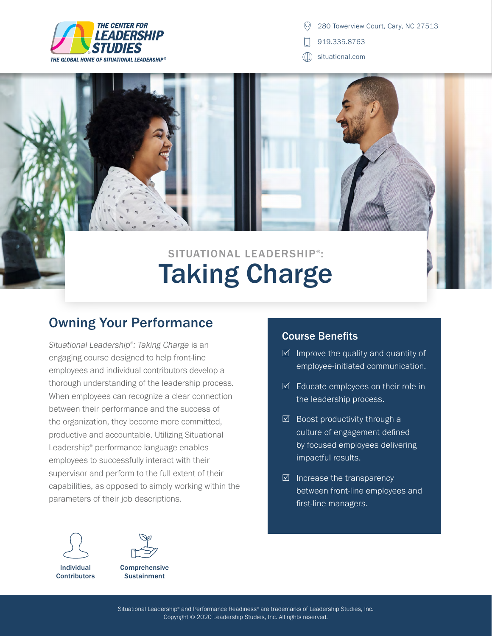

280 Towerview Court, Cary, NC 27513

919.335.8763

∰ situational.com

# Taking Charge SITUATIONAL LEADERSHIP<sup>®</sup>:

## Owning Your Performance

*Situational Leadership® : Taking Charge* is an engaging course designed to help front-line employees and individual contributors develop a thorough understanding of the leadership process. When employees can recognize a clear connection between their performance and the success of the organization, they become more committed, productive and accountable. Utilizing Situational Leadership® performance language enables employees to successfully interact with their supervisor and perform to the full extent of their capabilities, as opposed to simply working within the parameters of their job descriptions.





**Comprehensive Sustainment** 

#### Course Benefits

- $\boxtimes$  Improve the quality and quantity of employee-initiated communication.
- $\boxtimes$  Educate employees on their role in the leadership process.
- $\boxtimes$  Boost productivity through a culture of engagement defined by focused employees delivering impactful results.
- $\boxtimes$  Increase the transparency between front-line employees and first-line managers.